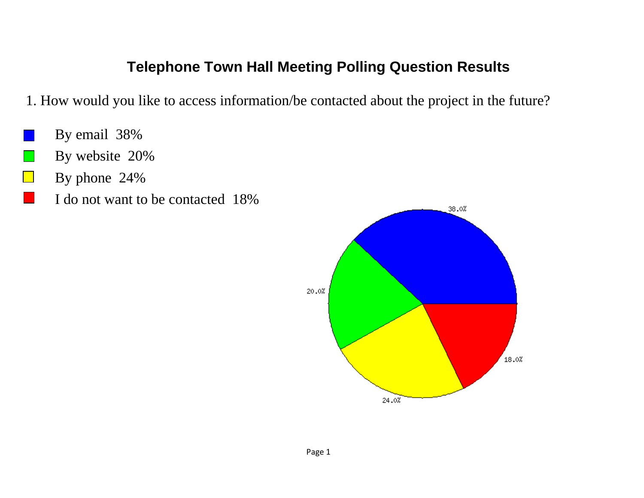- 1. How would you like to access information/be contacted about the project in the future?
- By email 38%
- By website 20%  $\mathcal{L}_{\text{max}}$
- By phone 24%
	- I do not want to be contacted 18%

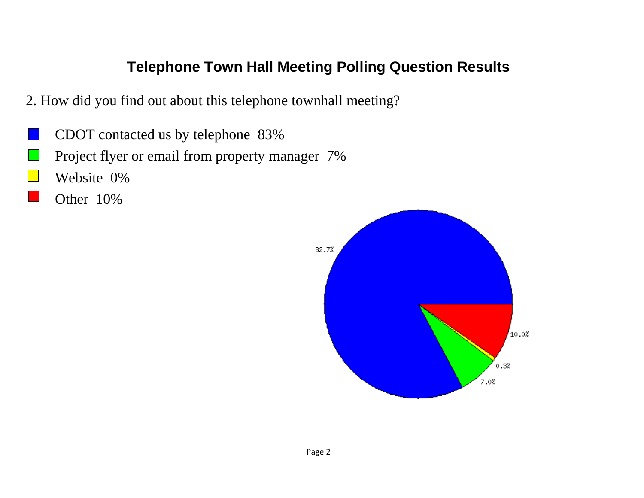- 2. How did you find out about this telephone townhall meeting?
- CDOT contacted us by telephone 83%
- Project flyer or email from property manager 7%
- Website 0%
	- Other 10%

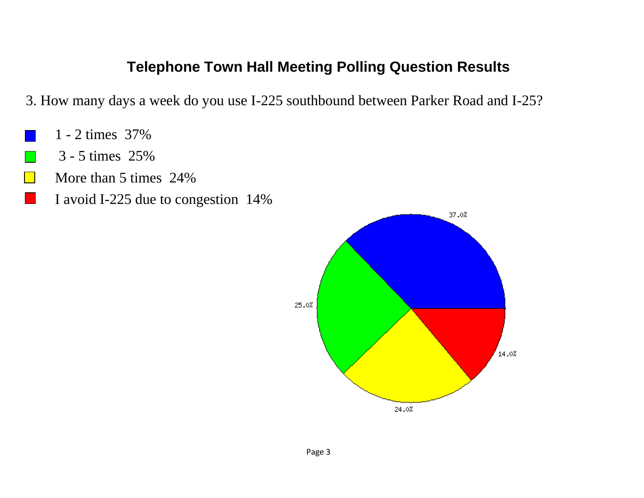3. How many days a week do you use I-225 southbound between Parker Road and I-25?

- 1 2 times 37%
- 3 5 times 25%  $\mathcal{L}_{\mathcal{A}}$
- More than 5 times 24%
	- I avoid I-225 due to congestion 14%

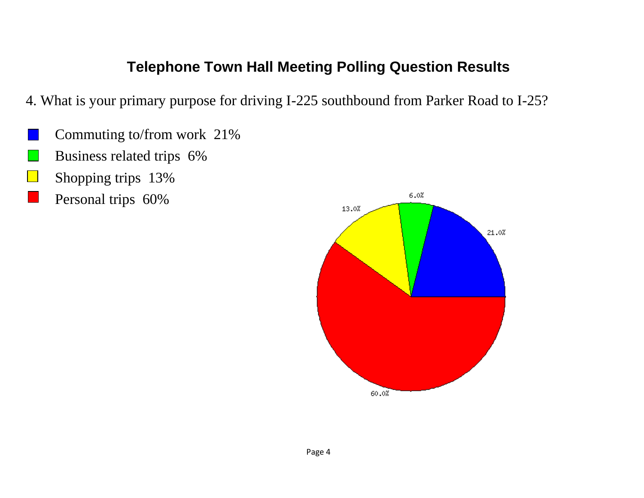- 4. What is your primary purpose for driving I-225 southbound from Parker Road to I-25?
- Commuting to/from work 21%
- Business related trips 6%
- Shopping trips 13%
- Personal trips 60%

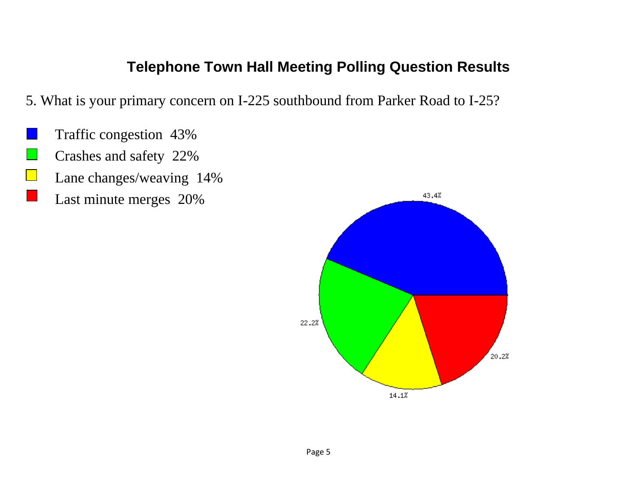5. What is your primary concern on I-225 southbound from Parker Road to I-25?

- Traffic congestion 43%
- Crashes and safety 22%
- $\mathbb{R}$ Lane changes/weaving 14%
	- Last minute merges 20%

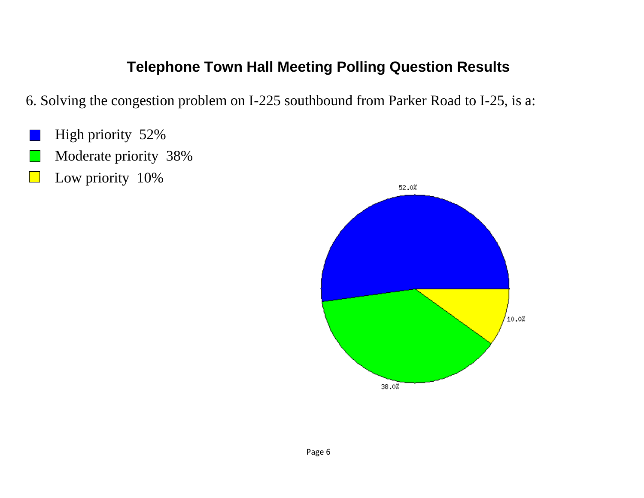6. Solving the congestion problem on I-225 southbound from Parker Road to I-25, is a:

- High priority 52%
- Moderate priority 38%
- Low priority 10%